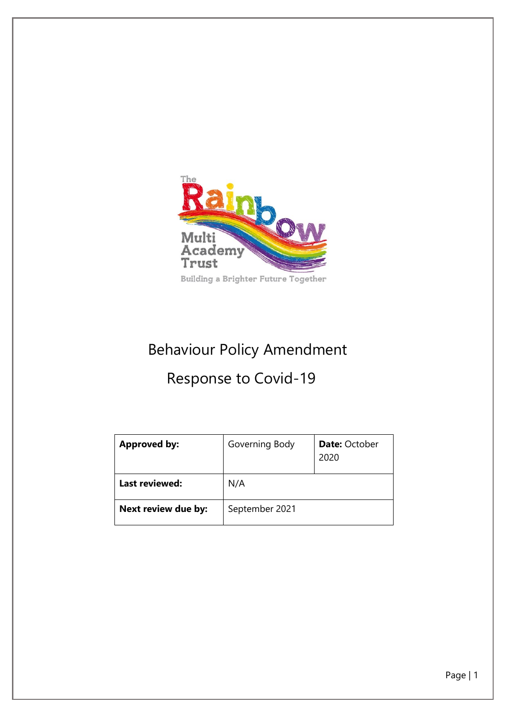

# Behaviour Policy Amendment Response to Covid-19

| <b>Approved by:</b> | Governing Body | <b>Date: October</b><br>2020 |
|---------------------|----------------|------------------------------|
| Last reviewed:      | N/A            |                              |
| Next review due by: | September 2021 |                              |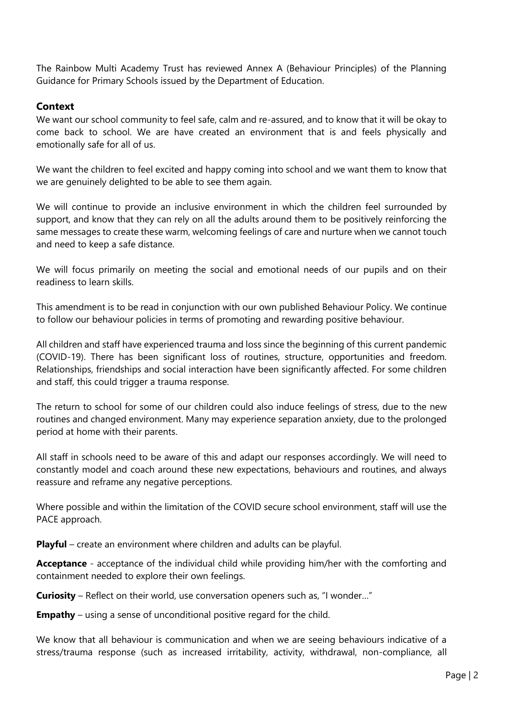The Rainbow Multi Academy Trust has reviewed Annex A (Behaviour Principles) of the Planning Guidance for Primary Schools issued by the Department of Education.

#### **Context**

We want our school community to feel safe, calm and re-assured, and to know that it will be okay to come back to school. We are have created an environment that is and feels physically and emotionally safe for all of us.

We want the children to feel excited and happy coming into school and we want them to know that we are genuinely delighted to be able to see them again.

We will continue to provide an inclusive environment in which the children feel surrounded by support, and know that they can rely on all the adults around them to be positively reinforcing the same messages to create these warm, welcoming feelings of care and nurture when we cannot touch and need to keep a safe distance.

We will focus primarily on meeting the social and emotional needs of our pupils and on their readiness to learn skills.

This amendment is to be read in conjunction with our own published Behaviour Policy. We continue to follow our behaviour policies in terms of promoting and rewarding positive behaviour.

All children and staff have experienced trauma and loss since the beginning of this current pandemic (COVID-19). There has been significant loss of routines, structure, opportunities and freedom. Relationships, friendships and social interaction have been significantly affected. For some children and staff, this could trigger a trauma response.

The return to school for some of our children could also induce feelings of stress, due to the new routines and changed environment. Many may experience separation anxiety, due to the prolonged period at home with their parents.

All staff in schools need to be aware of this and adapt our responses accordingly. We will need to constantly model and coach around these new expectations, behaviours and routines, and always reassure and reframe any negative perceptions.

Where possible and within the limitation of the COVID secure school environment, staff will use the PACE approach.

**Playful** – create an environment where children and adults can be playful.

**Acceptance** - acceptance of the individual child while providing him/her with the comforting and containment needed to explore their own feelings.

**Curiosity** – Reflect on their world, use conversation openers such as, "I wonder…"

**Empathy** – using a sense of unconditional positive regard for the child.

We know that all behaviour is communication and when we are seeing behaviours indicative of a stress/trauma response (such as increased irritability, activity, withdrawal, non-compliance, all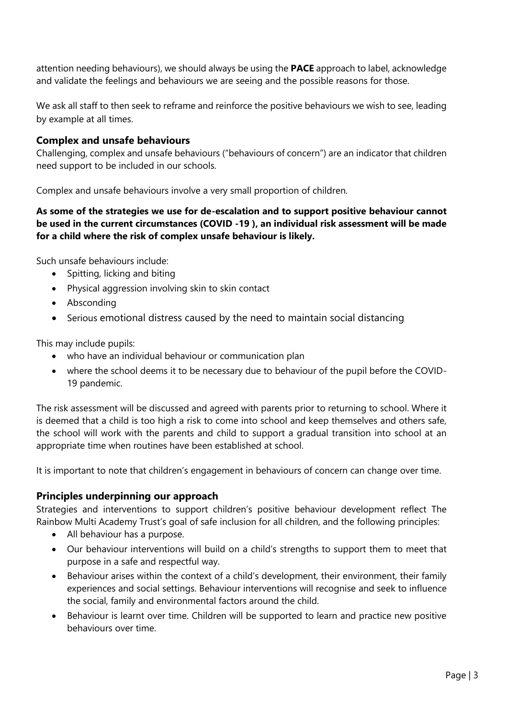attention needing behaviours), we should always be using the **PACE** approach to label, acknowledge and validate the feelings and behaviours we are seeing and the possible reasons for those.

We ask all staff to then seek to reframe and reinforce the positive behaviours we wish to see, leading by example at all times.

#### **Complex and unsafe behaviours**

Challenging, complex and unsafe behaviours ("behaviours of concern") are an indicator that children need support to be included in our schools.

Complex and unsafe behaviours involve a very small proportion of children.

#### **As some of the strategies we use for de-escalation and to support positive behaviour cannot be used in the current circumstances (COVID -19 ), an individual risk assessment will be made for a child where the risk of complex unsafe behaviour is likely.**

Such unsafe behaviours include:

- Spitting, licking and biting
- Physical aggression involving skin to skin contact
- Absconding
- Serious emotional distress caused by the need to maintain social distancing

This may include pupils:

- who have an individual behaviour or communication plan
- where the school deems it to be necessary due to behaviour of the pupil before the COVID-19 pandemic.

The risk assessment will be discussed and agreed with parents prior to returning to school. Where it is deemed that a child is too high a risk to come into school and keep themselves and others safe, the school will work with the parents and child to support a gradual transition into school at an appropriate time when routines have been established at school.

It is important to note that children's engagement in behaviours of concern can change over time.

#### **Principles underpinning our approach**

Strategies and interventions to support children's positive behaviour development reflect The Rainbow Multi Academy Trust's goal of safe inclusion for all children, and the following principles:

- All behaviour has a purpose.
- Our behaviour interventions will build on a child's strengths to support them to meet that purpose in a safe and respectful way.
- Behaviour arises within the context of a child's development, their environment, their family experiences and social settings. Behaviour interventions will recognise and seek to influence the social, family and environmental factors around the child.
- Behaviour is learnt over time. Children will be supported to learn and practice new positive behaviours over time.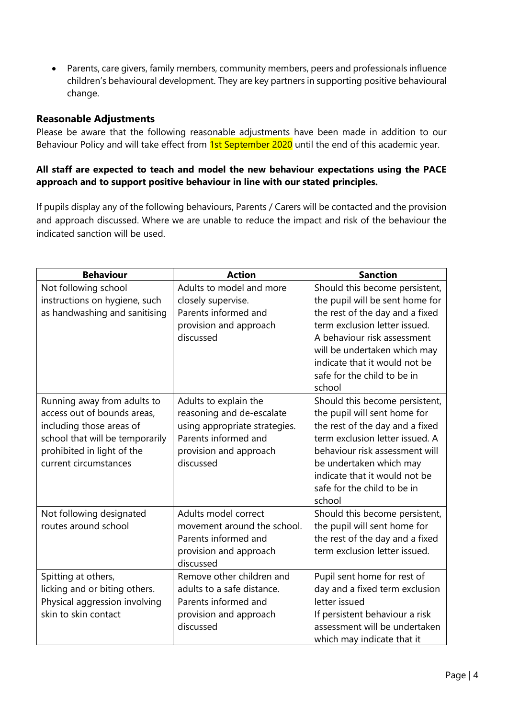• Parents, care givers, family members, community members, peers and professionals influence children's behavioural development. They are key partners in supporting positive behavioural change.

#### **Reasonable Adjustments**

Please be aware that the following reasonable adjustments have been made in addition to our Behaviour Policy and will take effect from 1st September 2020 until the end of this academic year.

#### **All staff are expected to teach and model the new behaviour expectations using the PACE approach and to support positive behaviour in line with our stated principles.**

If pupils display any of the following behaviours, Parents / Carers will be contacted and the provision and approach discussed. Where we are unable to reduce the impact and risk of the behaviour the indicated sanction will be used.

| <b>Behaviour</b>                | <b>Action</b>                 | <b>Sanction</b>                 |
|---------------------------------|-------------------------------|---------------------------------|
| Not following school            | Adults to model and more      | Should this become persistent,  |
| instructions on hygiene, such   | closely supervise.            | the pupil will be sent home for |
| as handwashing and sanitising   | Parents informed and          | the rest of the day and a fixed |
|                                 | provision and approach        | term exclusion letter issued.   |
|                                 | discussed                     | A behaviour risk assessment     |
|                                 |                               | will be undertaken which may    |
|                                 |                               | indicate that it would not be   |
|                                 |                               | safe for the child to be in     |
|                                 |                               | school                          |
| Running away from adults to     | Adults to explain the         | Should this become persistent,  |
| access out of bounds areas,     | reasoning and de-escalate     | the pupil will sent home for    |
| including those areas of        | using appropriate strategies. | the rest of the day and a fixed |
| school that will be temporarily | Parents informed and          | term exclusion letter issued. A |
| prohibited in light of the      | provision and approach        | behaviour risk assessment will  |
| current circumstances           | discussed                     | be undertaken which may         |
|                                 |                               | indicate that it would not be   |
|                                 |                               | safe for the child to be in     |
|                                 |                               | school                          |
| Not following designated        | Adults model correct          | Should this become persistent,  |
| routes around school            | movement around the school.   | the pupil will sent home for    |
|                                 | Parents informed and          | the rest of the day and a fixed |
|                                 | provision and approach        | term exclusion letter issued.   |
|                                 | discussed                     |                                 |
| Spitting at others,             | Remove other children and     | Pupil sent home for rest of     |
| licking and or biting others.   | adults to a safe distance.    | day and a fixed term exclusion  |
| Physical aggression involving   | Parents informed and          | letter issued                   |
| skin to skin contact            | provision and approach        | If persistent behaviour a risk  |
|                                 | discussed                     | assessment will be undertaken   |
|                                 |                               | which may indicate that it      |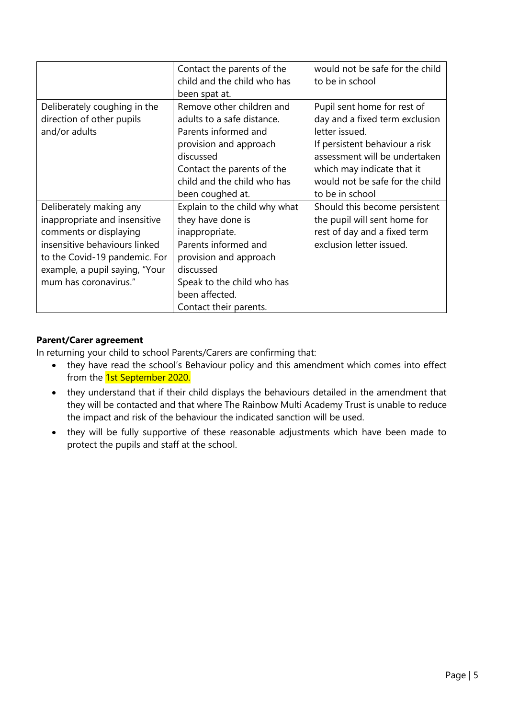|                                | Contact the parents of the    | would not be safe for the child |
|--------------------------------|-------------------------------|---------------------------------|
|                                | child and the child who has   | to be in school                 |
|                                | been spat at.                 |                                 |
| Deliberately coughing in the   | Remove other children and     | Pupil sent home for rest of     |
| direction of other pupils      | adults to a safe distance.    | day and a fixed term exclusion  |
| and/or adults                  | Parents informed and          | letter issued.                  |
|                                | provision and approach        | If persistent behaviour a risk  |
|                                | discussed                     | assessment will be undertaken   |
|                                | Contact the parents of the    | which may indicate that it      |
|                                | child and the child who has   | would not be safe for the child |
|                                | been coughed at.              | to be in school                 |
| Deliberately making any        | Explain to the child why what | Should this become persistent   |
| inappropriate and insensitive  | they have done is             | the pupil will sent home for    |
| comments or displaying         | inappropriate.                | rest of day and a fixed term    |
| insensitive behaviours linked  | Parents informed and          | exclusion letter issued.        |
| to the Covid-19 pandemic. For  | provision and approach        |                                 |
| example, a pupil saying, "Your | discussed                     |                                 |
| mum has coronavirus."          | Speak to the child who has    |                                 |
|                                | been affected.                |                                 |
|                                | Contact their parents.        |                                 |

#### **Parent/Carer agreement**

In returning your child to school Parents/Carers are confirming that:

- they have read the school's Behaviour policy and this amendment which comes into effect from the 1st September 2020.
- they understand that if their child displays the behaviours detailed in the amendment that they will be contacted and that where The Rainbow Multi Academy Trust is unable to reduce the impact and risk of the behaviour the indicated sanction will be used.
- they will be fully supportive of these reasonable adjustments which have been made to protect the pupils and staff at the school.